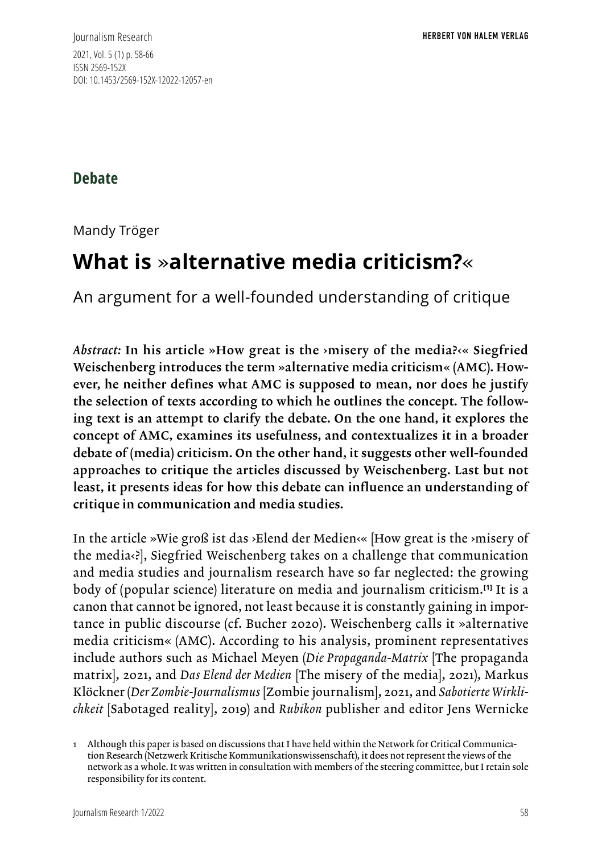Journalism Research 2021, Vol. 5 (1) p. 58-66 ISSN 2569-152X DOI: 10.1453/2569-152X-12022-12057-en

**Debate**

Mandy Tröger

# **What is** »**alternative media criticism?**«

An argument for a well-founded understanding of critique

*Abstract:* In his article »How great is the ›misery of the media?‹« Siegfried Weischenberg introduces the term »alternative media criticism« (AMC). However, he neither defines what AMC is supposed to mean, nor does he justify the selection of texts according to which he outlines the concept. The following text is an attempt to clarify the debate. On the one hand, it explores the concept of AMC, examines its usefulness, and contextualizes it in a broader debate of (media) criticism. On the other hand, it suggests other well-founded approaches to critique the articles discussed by Weischenberg. Last but not least, it presents ideas for how this debate can influence an understanding of critique in communication and media studies.

In the article »Wie groß ist das ›Elend der Medien‹« [How great is the ›misery of the media‹?], Siegfried Weischenberg takes on a challenge that communication and media studies and journalism research have so far neglected: the growing body of (popular science) literature on media and journalism criticism.**[1]** It is a canon that cannot be ignored, not least because it is constantly gaining in importance in public discourse (cf. Bucher 2020). Weischenberg calls it »alternative media criticism« (AMC). According to his analysis, prominent representatives include authors such as Michael Meyen (*Die Propaganda-Matrix* [The propaganda matrix], 2021, and *Das Elend der Medien* [The misery of the media], 2021), Markus Klöckner (*Der Zombie-Journalismus* [Zombie journalism], 2021, and *Sabotierte Wirklichkeit* [Sabotaged reality], 2019) and *Rubikon* publisher and editor Jens Wernicke

<sup>1</sup> Although this paper is based on discussions that I have held within the Network for Critical Communication Research (Netzwerk Kritische Kommunikationswissenschaft), it does not represent the views of the network as a whole. It was written in consultation with members of the steering committee, but I retain sole responsibility for its content.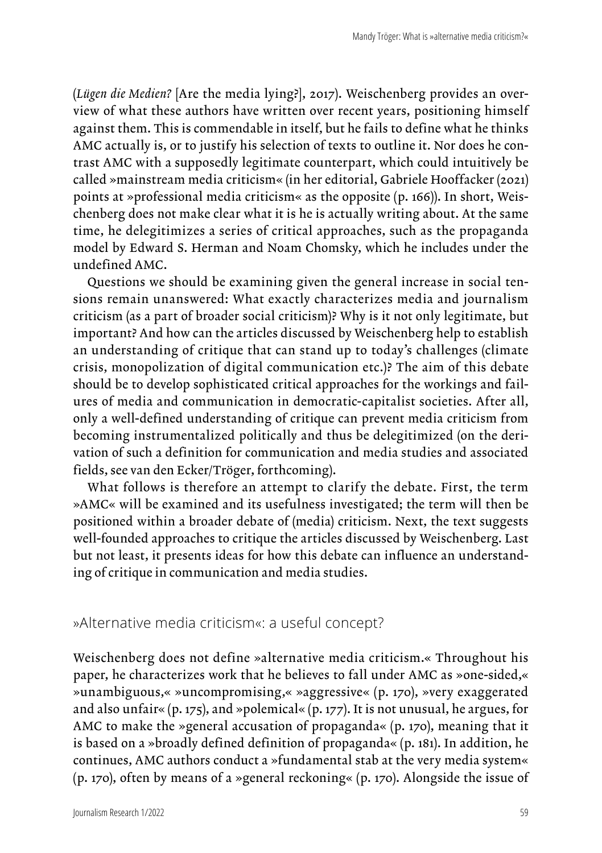(*Lügen die Medien?* [Are the media lying?], 2017). Weischenberg provides an overview of what these authors have written over recent years, positioning himself against them. This is commendable in itself, but he fails to define what he thinks AMC actually is, or to justify his selection of texts to outline it. Nor does he contrast AMC with a supposedly legitimate counterpart, which could intuitively be called »mainstream media criticism« (in her editorial, Gabriele Hooffacker (2021) points at »professional media criticism« as the opposite (p. 166)). In short, Weischenberg does not make clear what it is he is actually writing about. At the same time, he delegitimizes a series of critical approaches, such as the propaganda model by Edward S. Herman and Noam Chomsky, which he includes under the undefined AMC.

Questions we should be examining given the general increase in social tensions remain unanswered: What exactly characterizes media and journalism criticism (as a part of broader social criticism)? Why is it not only legitimate, but important? And how can the articles discussed by Weischenberg help to establish an understanding of critique that can stand up to today's challenges (climate crisis, monopolization of digital communication etc.)? The aim of this debate should be to develop sophisticated critical approaches for the workings and failures of media and communication in democratic-capitalist societies. After all, only a well-defined understanding of critique can prevent media criticism from becoming instrumentalized politically and thus be delegitimized (on the derivation of such a definition for communication and media studies and associated fields, see van den Ecker/Tröger, forthcoming).

What follows is therefore an attempt to clarify the debate. First, the term »AMC« will be examined and its usefulness investigated; the term will then be positioned within a broader debate of (media) criticism. Next, the text suggests well-founded approaches to critique the articles discussed by Weischenberg. Last but not least, it presents ideas for how this debate can influence an understanding of critique in communication and media studies.

»Alternative media criticism«: a useful concept?

Weischenberg does not define »alternative media criticism.« Throughout his paper, he characterizes work that he believes to fall under AMC as »one-sided,« »unambiguous,« »uncompromising,« »aggressive« (p. 170), »very exaggerated and also unfair« (p. 175), and »polemical« (p. 177). It is not unusual, he argues, for AMC to make the »general accusation of propaganda« (p. 170), meaning that it is based on a »broadly defined definition of propaganda« (p. 181). In addition, he continues, AMC authors conduct a »fundamental stab at the very media system« (p. 170), often by means of a »general reckoning« (p. 170). Alongside the issue of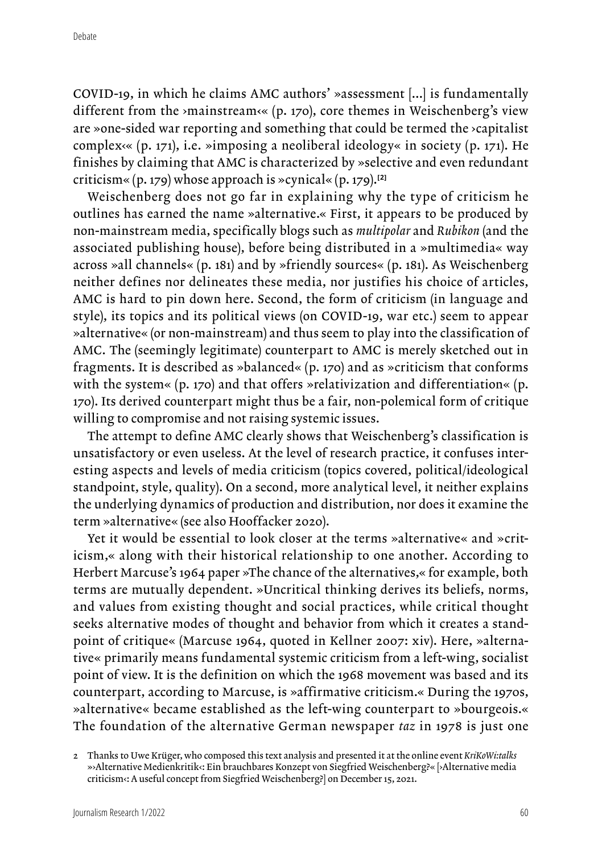COVID-19, in which he claims AMC authors' »assessment [...] is fundamentally different from the >mainstream<< (p. 170), core themes in Weischenberg's view are »one-sided war reporting and something that could be termed the ›capitalist complex<sup>( $\alpha$ </sup>), i.e. »imposing a neoliberal ideology« in society (p. 171). He finishes by claiming that AMC is characterized by »selective and even redundant criticism« (p. 179) whose approach is »cynical« (p. 179).**[2]**

Weischenberg does not go far in explaining why the type of criticism he outlines has earned the name »alternative.« First, it appears to be produced by non-mainstream media, specifically blogs such as *multipolar* and *Rubikon* (and the associated publishing house), before being distributed in a »multimedia« way across »all channels« (p. 181) and by »friendly sources« (p. 181). As Weischenberg neither defines nor delineates these media, nor justifies his choice of articles, AMC is hard to pin down here. Second, the form of criticism (in language and style), its topics and its political views (on COVID-19, war etc.) seem to appear »alternative« (or non-mainstream) and thus seem to play into the classification of AMC. The (seemingly legitimate) counterpart to AMC is merely sketched out in fragments. It is described as »balanced« (p. 170) and as »criticism that conforms with the system« (p. 170) and that offers »relativization and differentiation« (p. 170). Its derived counterpart might thus be a fair, non-polemical form of critique willing to compromise and not raising systemic issues.

The attempt to define AMC clearly shows that Weischenberg's classification is unsatisfactory or even useless. At the level of research practice, it confuses interesting aspects and levels of media criticism (topics covered, political/ideological standpoint, style, quality). On a second, more analytical level, it neither explains the underlying dynamics of production and distribution, nor does it examine the term »alternative« (see also Hooffacker 2020).

Yet it would be essential to look closer at the terms »alternative« and »criticism,« along with their historical relationship to one another. According to Herbert Marcuse's 1964 paper »The chance of the alternatives,« for example, both terms are mutually dependent. »Uncritical thinking derives its beliefs, norms, and values from existing thought and social practices, while critical thought seeks alternative modes of thought and behavior from which it creates a standpoint of critique« (Marcuse 1964, quoted in Kellner 2007: xiv). Here, »alternative« primarily means fundamental systemic criticism from a left-wing, socialist point of view. It is the definition on which the 1968 movement was based and its counterpart, according to Marcuse, is »affirmative criticism.« During the 1970s, »alternative« became established as the left-wing counterpart to »bourgeois.« The foundation of the alternative German newspaper *taz* in 1978 is just one

<sup>2</sup> Thanks to Uwe Krüger, who composed this text analysis and presented it at the online event *KriKoWi:talks* »›Alternative Medienkritik‹: Ein brauchbares Konzept von Siegfried Weischenberg?« [›Alternative media criticism‹: A useful concept from Siegfried Weischenberg?] on December 15, 2021.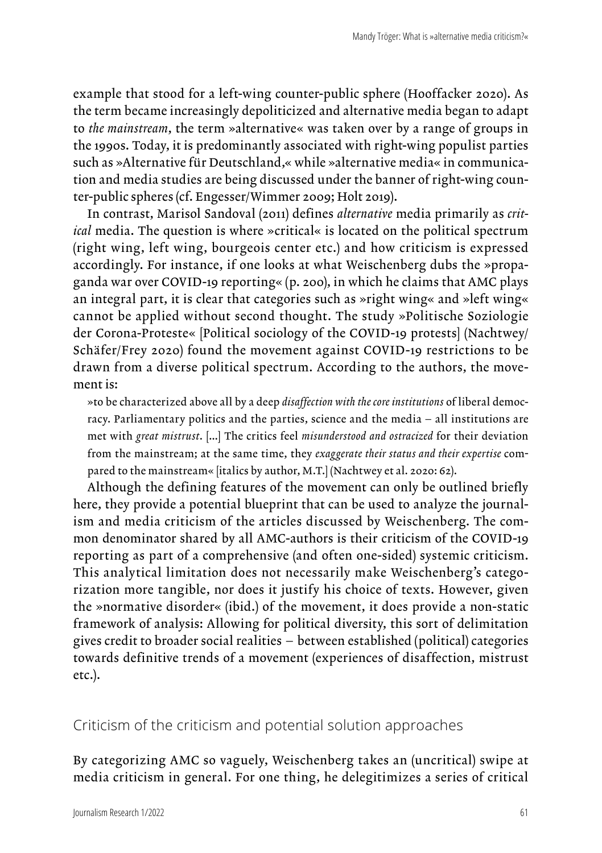example that stood for a left-wing counter-public sphere (Hooffacker 2020). As the term became increasingly depoliticized and alternative media began to adapt to *the mainstream*, the term »alternative« was taken over by a range of groups in the 1990s. Today, it is predominantly associated with right-wing populist parties such as »Alternative für Deutschland,« while »alternative media« in communication and media studies are being discussed under the banner of right-wing counter-public spheres (cf. Engesser/Wimmer 2009; Holt 2019).

In contrast, Marisol Sandoval (2011) defines *alternative* media primarily as *critical* media. The question is where »critical« is located on the political spectrum (right wing, left wing, bourgeois center etc.) and how criticism is expressed accordingly. For instance, if one looks at what Weischenberg dubs the »propaganda war over COVID-19 reporting« (p. 200), in which he claims that AMC plays an integral part, it is clear that categories such as »right wing« and »left wing« cannot be applied without second thought. The study »Politische Soziologie der Corona-Proteste« [Political sociology of the COVID-19 protests] (Nachtwey/ Schäfer/Frey 2020) found the movement against COVID-19 restrictions to be drawn from a diverse political spectrum. According to the authors, the movement is:

»to be characterized above all by a deep *disaffection with the core institutions* of liberal democracy. Parliamentary politics and the parties, science and the media – all institutions are met with *great mistrust*. […] The critics feel *misunderstood and ostracized* for their deviation from the mainstream; at the same time, they *exaggerate their status and their expertise* compared to the mainstream« [italics by author, M.T.] (Nachtwey et al. 2020: 62).

Although the defining features of the movement can only be outlined briefly here, they provide a potential blueprint that can be used to analyze the journalism and media criticism of the articles discussed by Weischenberg. The common denominator shared by all AMC-authors is their criticism of the COVID-19 reporting as part of a comprehensive (and often one-sided) systemic criticism. This analytical limitation does not necessarily make Weischenberg's categorization more tangible, nor does it justify his choice of texts. However, given the »normative disorder« (ibid.) of the movement, it does provide a non-static framework of analysis: Allowing for political diversity, this sort of delimitation gives credit to broader social realities – between established (political) categories towards definitive trends of a movement (experiences of disaffection, mistrust etc.).

Criticism of the criticism and potential solution approaches

By categorizing AMC so vaguely, Weischenberg takes an (uncritical) swipe at media criticism in general. For one thing, he delegitimizes a series of critical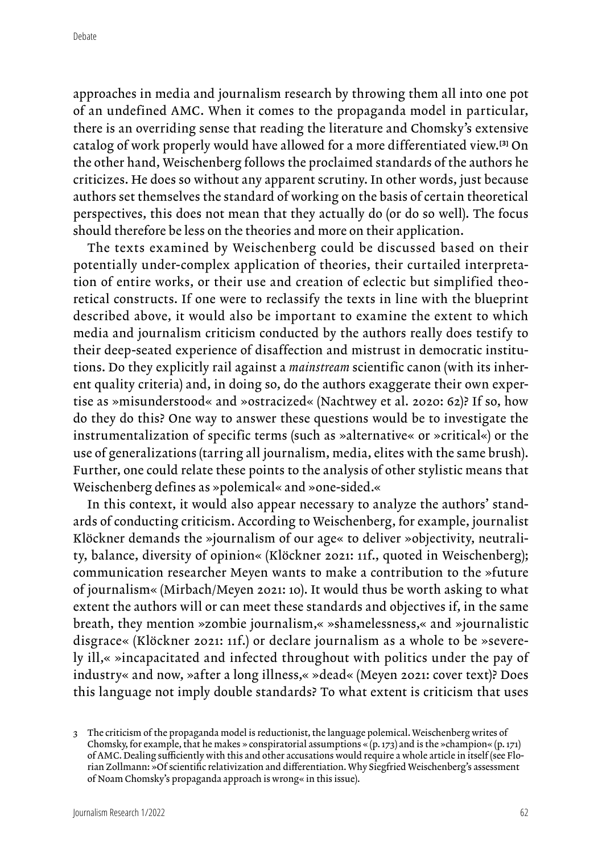approaches in media and journalism research by throwing them all into one pot of an undefined AMC. When it comes to the propaganda model in particular, there is an overriding sense that reading the literature and Chomsky's extensive catalog of work properly would have allowed for a more differentiated view.**[3]** On the other hand, Weischenberg follows the proclaimed standards of the authors he criticizes. He does so without any apparent scrutiny. In other words, just because authors set themselves the standard of working on the basis of certain theoretical perspectives, this does not mean that they actually do (or do so well). The focus should therefore be less on the theories and more on their application.

The texts examined by Weischenberg could be discussed based on their potentially under-complex application of theories, their curtailed interpretation of entire works, or their use and creation of eclectic but simplified theoretical constructs. If one were to reclassify the texts in line with the blueprint described above, it would also be important to examine the extent to which media and journalism criticism conducted by the authors really does testify to their deep-seated experience of disaffection and mistrust in democratic institutions. Do they explicitly rail against a *mainstream* scientific canon (with its inherent quality criteria) and, in doing so, do the authors exaggerate their own expertise as »misunderstood« and »ostracized« (Nachtwey et al. 2020: 62)? If so, how do they do this? One way to answer these questions would be to investigate the instrumentalization of specific terms (such as »alternative« or »critical«) or the use of generalizations (tarring all journalism, media, elites with the same brush). Further, one could relate these points to the analysis of other stylistic means that Weischenberg defines as »polemical« and »one-sided.«

In this context, it would also appear necessary to analyze the authors' standards of conducting criticism. According to Weischenberg, for example, journalist Klöckner demands the »journalism of our age« to deliver »objectivity, neutrality, balance, diversity of opinion« (Klöckner 2021: 11f., quoted in Weischenberg); communication researcher Meyen wants to make a contribution to the »future of journalism« (Mirbach/Meyen 2021: 10). It would thus be worth asking to what extent the authors will or can meet these standards and objectives if, in the same breath, they mention »zombie journalism,« »shamelessness,« and »journalistic disgrace« (Klöckner 2021: 11f.) or declare journalism as a whole to be »severely ill,« »incapacitated and infected throughout with politics under the pay of industry« and now, »after a long illness,« »dead« (Meyen 2021: cover text)? Does this language not imply double standards? To what extent is criticism that uses

<sup>3</sup> The criticism of the propaganda model is reductionist, the language polemical. Weischenberg writes of Chomsky, for example, that he makes » conspiratorial assumptions « (p. 173) and is the »champion« (p. 171) of AMC. Dealing sufficiently with this and other accusations would require a whole article in itself (see Florian Zollmann: »Of scientific relativization and differentiation. Why Siegfried Weischenberg's assessment of Noam Chomsky's propaganda approach is wrong« in this issue).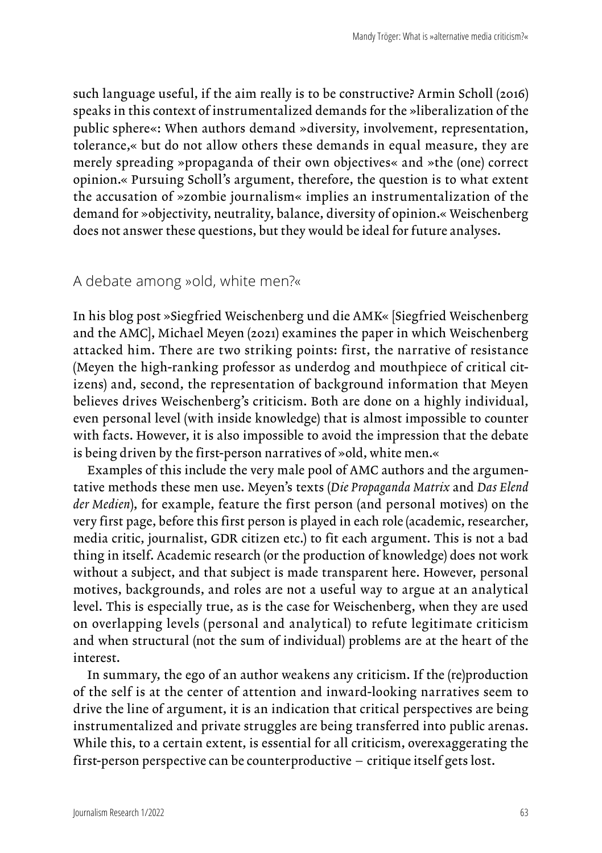such language useful, if the aim really is to be constructive? Armin Scholl (2016) speaks in this context of instrumentalized demands for the »liberalization of the public sphere«: When authors demand »diversity, involvement, representation, tolerance,« but do not allow others these demands in equal measure, they are merely spreading »propaganda of their own objectives« and »the (one) correct opinion.« Pursuing Scholl's argument, therefore, the question is to what extent the accusation of »zombie journalism« implies an instrumentalization of the demand for »objectivity, neutrality, balance, diversity of opinion.« Weischenberg does not answer these questions, but they would be ideal for future analyses.

#### A debate among »old, white men?«

In his blog post »Siegfried Weischenberg und die AMK« [Siegfried Weischenberg and the AMC], Michael Meyen (2021) examines the paper in which Weischenberg attacked him. There are two striking points: first, the narrative of resistance (Meyen the high-ranking professor as underdog and mouthpiece of critical citizens) and, second, the representation of background information that Meyen believes drives Weischenberg's criticism. Both are done on a highly individual, even personal level (with inside knowledge) that is almost impossible to counter with facts. However, it is also impossible to avoid the impression that the debate is being driven by the first-person narratives of »old, white men.«

Examples of this include the very male pool of AMC authors and the argumentative methods these men use. Meyen's texts (*Die Propaganda Matrix* and *Das Elend der Medien*), for example, feature the first person (and personal motives) on the very first page, before this first person is played in each role (academic, researcher, media critic, journalist, GDR citizen etc.) to fit each argument. This is not a bad thing in itself. Academic research (or the production of knowledge) does not work without a subject, and that subject is made transparent here. However, personal motives, backgrounds, and roles are not a useful way to argue at an analytical level. This is especially true, as is the case for Weischenberg, when they are used on overlapping levels (personal and analytical) to refute legitimate criticism and when structural (not the sum of individual) problems are at the heart of the interest.

In summary, the ego of an author weakens any criticism. If the (re)production of the self is at the center of attention and inward-looking narratives seem to drive the line of argument, it is an indication that critical perspectives are being instrumentalized and private struggles are being transferred into public arenas. While this, to a certain extent, is essential for all criticism, overexaggerating the first-person perspective can be counterproductive – critique itself gets lost.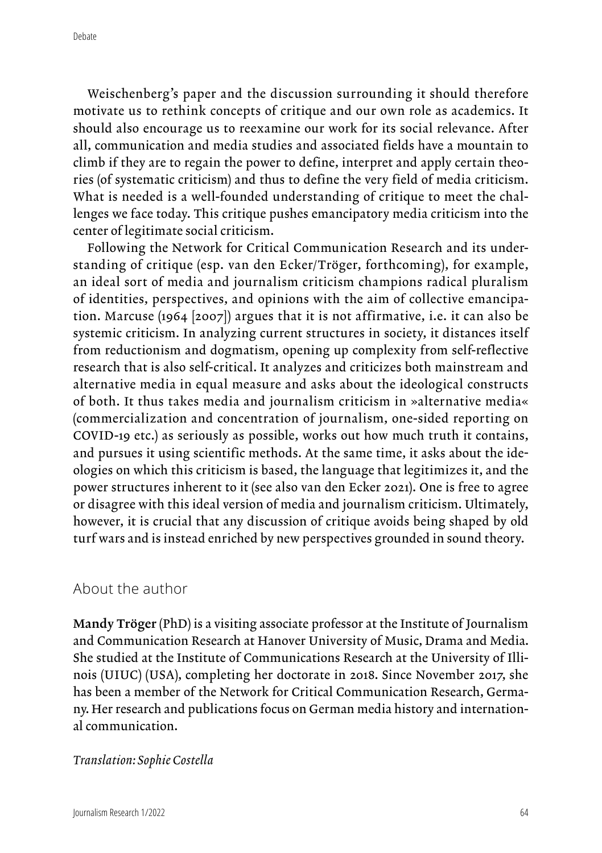Weischenberg's paper and the discussion surrounding it should therefore motivate us to rethink concepts of critique and our own role as academics. It should also encourage us to reexamine our work for its social relevance. After all, communication and media studies and associated fields have a mountain to climb if they are to regain the power to define, interpret and apply certain theories (of systematic criticism) and thus to define the very field of media criticism. What is needed is a well-founded understanding of critique to meet the challenges we face today. This critique pushes emancipatory media criticism into the center of legitimate social criticism.

Following the Network for Critical Communication Research and its understanding of critique (esp. van den Ecker/Tröger, forthcoming), for example, an ideal sort of media and journalism criticism champions radical pluralism of identities, perspectives, and opinions with the aim of collective emancipation. Marcuse (1964 [2007]) argues that it is not affirmative, i.e. it can also be systemic criticism. In analyzing current structures in society, it distances itself from reductionism and dogmatism, opening up complexity from self-reflective research that is also self-critical. It analyzes and criticizes both mainstream and alternative media in equal measure and asks about the ideological constructs of both. It thus takes media and journalism criticism in »alternative media« (commercialization and concentration of journalism, one-sided reporting on COVID-19 etc.) as seriously as possible, works out how much truth it contains, and pursues it using scientific methods. At the same time, it asks about the ideologies on which this criticism is based, the language that legitimizes it, and the power structures inherent to it (see also van den Ecker 2021). One is free to agree or disagree with this ideal version of media and journalism criticism. Ultimately, however, it is crucial that any discussion of critique avoids being shaped by old turf wars and is instead enriched by new perspectives grounded in sound theory.

### About the author

Mandy Tröger (PhD) is a visiting associate professor at the Institute of Journalism and Communication Research at Hanover University of Music, Drama and Media. She studied at the Institute of Communications Research at the University of Illinois (UIUC) (USA), completing her doctorate in 2018. Since November 2017, she has been a member of the Network for Critical Communication Research, Germany. Her research and publications focus on German media history and international communication.

#### *Translation: Sophie Costella*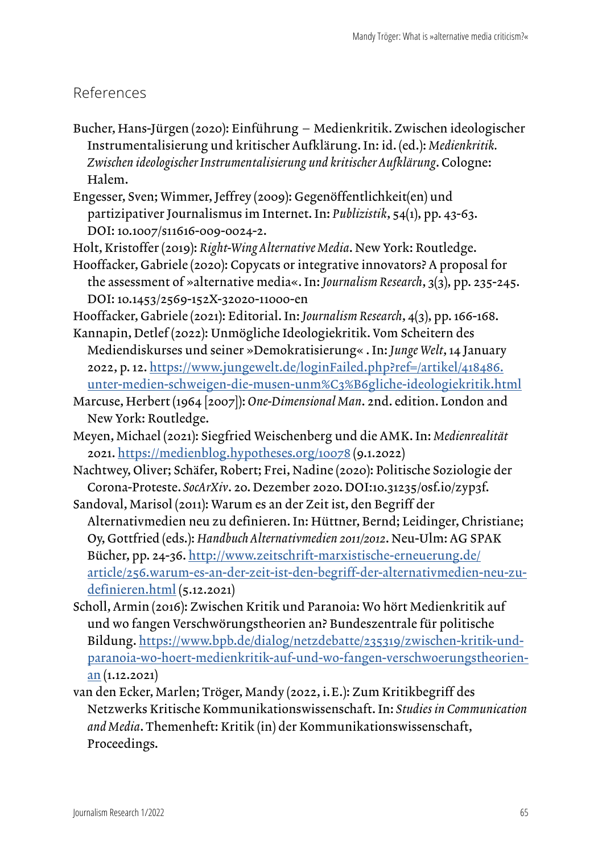## References

- Bucher, Hans-Jürgen (2020): Einführung Medienkritik. Zwischen ideologischer Instrumentalisierung und kritischer Aufklärung. In: id. (ed.): *Medienkritik. Zwischen ideologischer Instrumentalisierung und kritischer Aufklärung*. Cologne: Halem.
- Engesser, Sven; Wimmer, Jeffrey (2009): Gegenöffentlichkeit(en) und partizipativer Journalismus im Internet. In: *Publizistik*, 54(1), pp. 43-63. DOI: 10.1007/s11616-009-0024-2.
- Holt, Kristoffer (2019): *Right-Wing Alternative Media*. New York: Routledge.

Hooffacker, Gabriele (2020): Copycats or integrative innovators? A proposal for the assessment of »alternative media«. In: *Journalism Research*, 3(3), pp. 235-245. DOI: 10.1453/2569-152X-32020-11000-en

Hooffacker, Gabriele (2021): Editorial. In: *Journalism Research*, 4(3), pp. 166-168. Kannapin, Detlef (2022): Unmögliche Ideologiekritik. Vom Scheitern des

- Mediendiskurses und seiner »Demokratisierung« . In: *Junge Welt*, 14 January 2022, p. 12. [https://www.jungewelt.de/loginFailed.php?ref=/artikel/418486.](https://www.jungewelt.de/loginFailed.php?ref=/artikel/418486.unter-medien-schweigen-die-musen-unm%C3%B6gliche-ideologiekritik.html) [unter-medien-schweigen-die-musen-unm%C3%B6gliche-ideologiekritik.html](https://www.jungewelt.de/loginFailed.php?ref=/artikel/418486.unter-medien-schweigen-die-musen-unm%C3%B6gliche-ideologiekritik.html)
- Marcuse, Herbert (1964 [2007]): *One-Dimensional Man*. 2nd. edition. London and New York: Routledge.
- Meyen, Michael (2021): Siegfried Weischenberg und die AMK. In: *Medienrealität* 2021.<https://medienblog.hypotheses.org/10078>(9.1.2022)
- Nachtwey, Oliver; Schäfer, Robert; Frei, Nadine (2020): Politische Soziologie der Corona-Proteste. *SocArXiv*. 20. Dezember 2020. DOI:10.31235/osf.io/zyp3f.
- Sandoval, Marisol (2011): Warum es an der Zeit ist, den Begriff der Alternativmedien neu zu definieren. In: Hüttner, Bernd; Leidinger, Christiane; Oy, Gottfried (eds.): *Handbuch Alternativmedien 2011/2012*. Neu-Ulm: AG SPAK Bücher, pp. 24-36. [http://www.zeitschrift-marxistische-erneuerung.de/](http://www.zeitschrift-marxistische-erneuerung.de/article/256.warum-es-an-der-zeit-ist-den-begriff-der-alternativmedien-neu-zu-definieren.html) [article/256.warum-es-an-der-zeit-ist-den-begriff-der-alternativmedien-neu-zu](http://www.zeitschrift-marxistische-erneuerung.de/article/256.warum-es-an-der-zeit-ist-den-begriff-der-alternativmedien-neu-zu-definieren.html)[definieren.html](http://www.zeitschrift-marxistische-erneuerung.de/article/256.warum-es-an-der-zeit-ist-den-begriff-der-alternativmedien-neu-zu-definieren.html) (5.12.2021)
- Scholl, Armin (2016): Zwischen Kritik und Paranoia: Wo hört Medienkritik auf und wo fangen Verschwörungstheorien an? Bundeszentrale für politische Bildung. [https://www.bpb.de/dialog/netzdebatte/235319/zwischen-kritik-und](https://www.bpb.de/dialog/netzdebatte/235319/zwischen-kritik-und-paranoia-wo-hoert-medienkritik-auf-und-wo-fangen-verschwoerungstheorien-an)[paranoia-wo-hoert-medienkritik-auf-und-wo-fangen-verschwoerungstheorien](https://www.bpb.de/dialog/netzdebatte/235319/zwischen-kritik-und-paranoia-wo-hoert-medienkritik-auf-und-wo-fangen-verschwoerungstheorien-an)[an](https://www.bpb.de/dialog/netzdebatte/235319/zwischen-kritik-und-paranoia-wo-hoert-medienkritik-auf-und-wo-fangen-verschwoerungstheorien-an) (1.12.2021)
- van den Ecker, Marlen; Tröger, Mandy (2022, i. E.): Zum Kritikbegriff des Netzwerks Kritische Kommunikationswissenschaft. In: *Studies in Communication and Media*. Themenheft: Kritik (in) der Kommunikationswissenschaft, Proceedings.